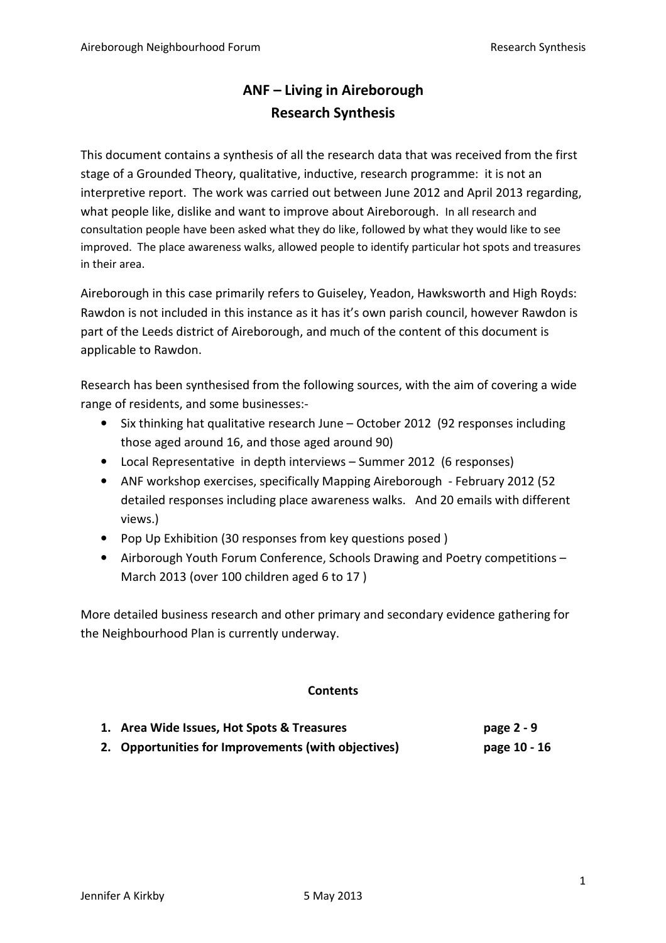# ANF – Living in Aireborough Research Synthesis

This document contains a synthesis of all the research data that was received from the first stage of a Grounded Theory, qualitative, inductive, research programme: it is not an interpretive report. The work was carried out between June 2012 and April 2013 regarding, what people like, dislike and want to improve about Aireborough. In all research and consultation people have been asked what they do like, followed by what they would like to see improved. The place awareness walks, allowed people to identify particular hot spots and treasures in their area.

Aireborough in this case primarily refers to Guiseley, Yeadon, Hawksworth and High Royds: Rawdon is not included in this instance as it has it's own parish council, however Rawdon is part of the Leeds district of Aireborough, and much of the content of this document is applicable to Rawdon.

Research has been synthesised from the following sources, with the aim of covering a wide range of residents, and some businesses:-

- Six thinking hat qualitative research June October 2012 (92 responses including those aged around 16, and those aged around 90)
- Local Representative in depth interviews Summer 2012 (6 responses)
- ANF workshop exercises, specifically Mapping Aireborough February 2012 (52 detailed responses including place awareness walks. And 20 emails with different views.)
- Pop Up Exhibition (30 responses from key questions posed )
- Airborough Youth Forum Conference, Schools Drawing and Poetry competitions March 2013 (over 100 children aged 6 to 17 )

More detailed business research and other primary and secondary evidence gathering for the Neighbourhood Plan is currently underway.

## **Contents**

| 1. Area Wide Issues, Hot Spots & Treasures          | page $2 - 9$ |
|-----------------------------------------------------|--------------|
| 2. Opportunities for Improvements (with objectives) | page 10 - 16 |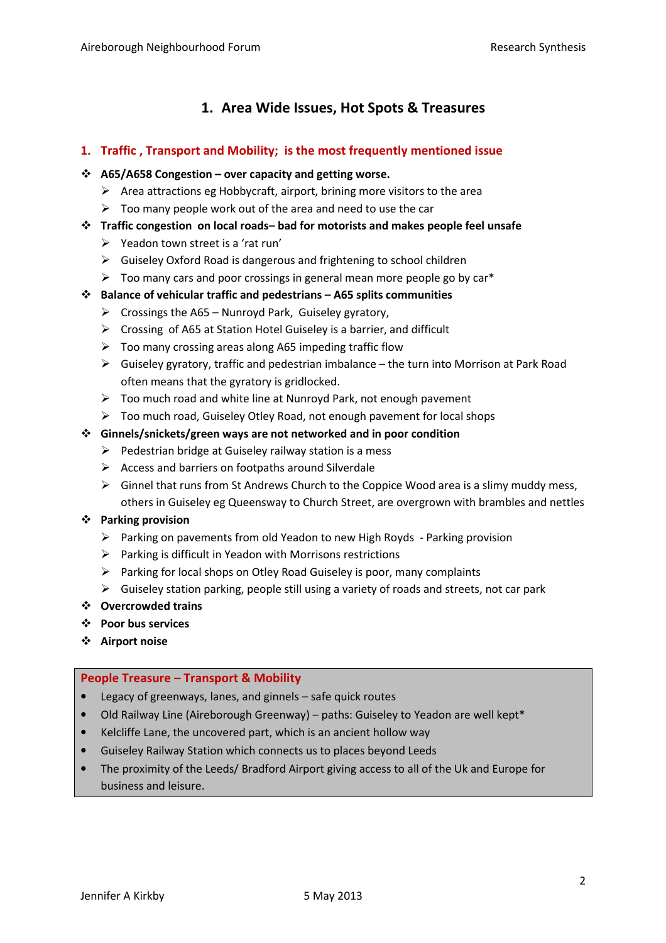## 1. Area Wide Issues, Hot Spots & Treasures

### 1. Traffic , Transport and Mobility; is the most frequently mentioned issue

#### $\div$  A65/A658 Congestion – over capacity and getting worse.

- > Area attractions eg Hobbycraft, airport, brining more visitors to the area
- $\triangleright$  Too many people work out of the area and need to use the car
- $\div$  Traffic congestion on local roads– bad for motorists and makes people feel unsafe
	- > Yeadon town street is a 'rat run'
	- Guiseley Oxford Road is dangerous and frightening to school children
	- $\triangleright$  Too many cars and poor crossings in general mean more people go by car\*
- $\cdot \cdot$  Balance of vehicular traffic and pedestrians A65 splits communities
	- > Crossings the A65 Nunroyd Park, Guiseley gyratory,
	- Crossing of A65 at Station Hotel Guiseley is a barrier, and difficult
	- > Too many crossing areas along A65 impeding traffic flow
	- > Guiseley gyratory, traffic and pedestrian imbalance the turn into Morrison at Park Road often means that the gyratory is gridlocked.
	- > Too much road and white line at Nunroyd Park, not enough pavement
	- > Too much road, Guiseley Otley Road, not enough pavement for local shops

#### Ginnels/snickets/green ways are not networked and in poor condition

- > Pedestrian bridge at Guiseley railway station is a mess
- > Access and barriers on footpaths around Silverdale
- > Ginnel that runs from St Andrews Church to the Coppice Wood area is a slimy muddy mess, others in Guiseley eg Queensway to Church Street, are overgrown with brambles and nettles

#### Parking provision

- > Parking on pavements from old Yeadon to new High Royds Parking provision
- > Parking is difficult in Yeadon with Morrisons restrictions
- > Parking for local shops on Otley Road Guiseley is poor, many complaints
- Guiseley station parking, people still using a variety of roads and streets, not car park
- Overcrowded trains
- Poor bus services
- Airport noise

#### People Treasure – Transport & Mobility

- Legacy of greenways, lanes, and ginnels safe quick routes
- Old Railway Line (Aireborough Greenway) paths: Guiseley to Yeadon are well kept\*
- Kelcliffe Lane, the uncovered part, which is an ancient hollow way
- Guiseley Railway Station which connects us to places beyond Leeds
- The proximity of the Leeds/ Bradford Airport giving access to all of the Uk and Europe for business and leisure.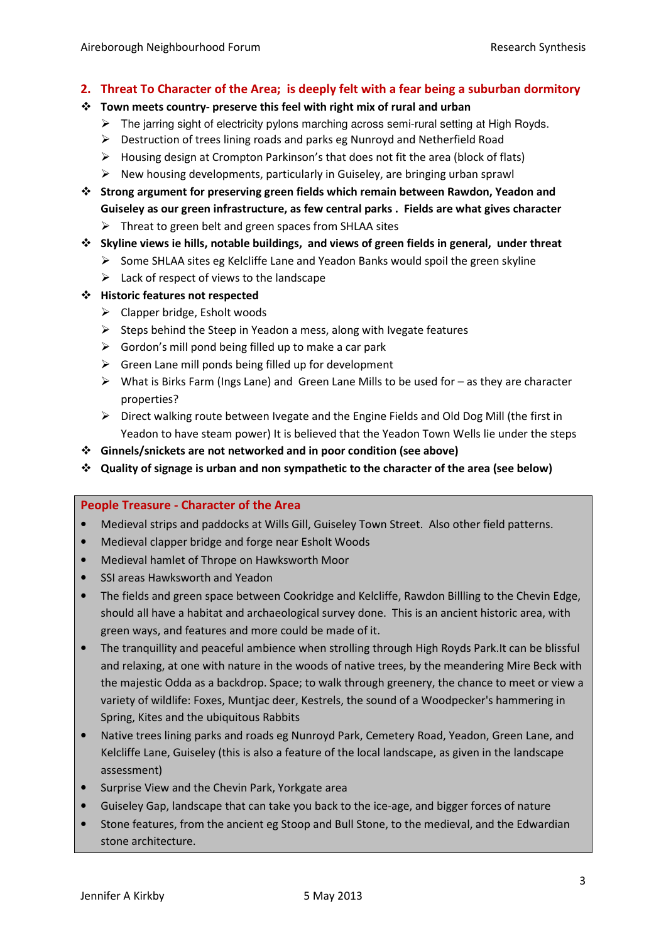#### 2. Threat To Character of the Area; is deeply felt with a fear being a suburban dormitory

- $\cdot \cdot$  Town meets country- preserve this feel with right mix of rural and urban
	- > The jarring sight of electricity pylons marching across semi-rural setting at High Royds.
	- > Destruction of trees lining roads and parks eg Nunroyd and Netherfield Road
	- > Housing design at Crompton Parkinson's that does not fit the area (block of flats)
	- > New housing developments, particularly in Guiseley, are bringing urban sprawl
- $\div$  Strong argument for preserving green fields which remain between Rawdon, Yeadon and Guiseley as our green infrastructure, as few central parks . Fields are what gives character
	- > Threat to green belt and green spaces from SHLAA sites
- $\div$  Skyline views ie hills, notable buildings, and views of green fields in general, under threat
	- > Some SHLAA sites eg Kelcliffe Lane and Yeadon Banks would spoil the green skyline
	- > Lack of respect of views to the landscape
- Historic features not respected
	- > Clapper bridge, Esholt woods
	- > Steps behind the Steep in Yeadon a mess, along with Ivegate features
	- > Gordon's mill pond being filled up to make a car park
	- > Green Lane mill ponds being filled up for development
	- > What is Birks Farm (Ings Lane) and Green Lane Mills to be used for as they are character properties?
	- > Direct walking route between Ivegate and the Engine Fields and Old Dog Mill (the first in Yeadon to have steam power) It is believed that the Yeadon Town Wells lie under the steps
- Ginnels/snickets are not networked and in poor condition (see above)
- $\div$  Quality of signage is urban and non sympathetic to the character of the area (see below)

#### People Treasure - Character of the Area

- Medieval strips and paddocks at Wills Gill, Guiseley Town Street. Also other field patterns.
- Medieval clapper bridge and forge near Esholt Woods
- Medieval hamlet of Thrope on Hawksworth Moor
- SSI areas Hawksworth and Yeadon
- The fields and green space between Cookridge and Kelcliffe, Rawdon Billling to the Chevin Edge, should all have a habitat and archaeological survey done. This is an ancient historic area, with green ways, and features and more could be made of it.
- The tranquillity and peaceful ambience when strolling through High Royds Park.It can be blissful and relaxing, at one with nature in the woods of native trees, by the meandering Mire Beck with the majestic Odda as a backdrop. Space; to walk through greenery, the chance to meet or view a variety of wildlife: Foxes, Muntjac deer, Kestrels, the sound of a Woodpecker's hammering in Spring, Kites and the ubiquitous Rabbits
- Native trees lining parks and roads eg Nunroyd Park, Cemetery Road, Yeadon, Green Lane, and Kelcliffe Lane, Guiseley (this is also a feature of the local landscape, as given in the landscape assessment)
- Surprise View and the Chevin Park, Yorkgate area
- Guiseley Gap, landscape that can take you back to the ice-age, and bigger forces of nature
- Stone features, from the ancient eg Stoop and Bull Stone, to the medieval, and the Edwardian stone architecture.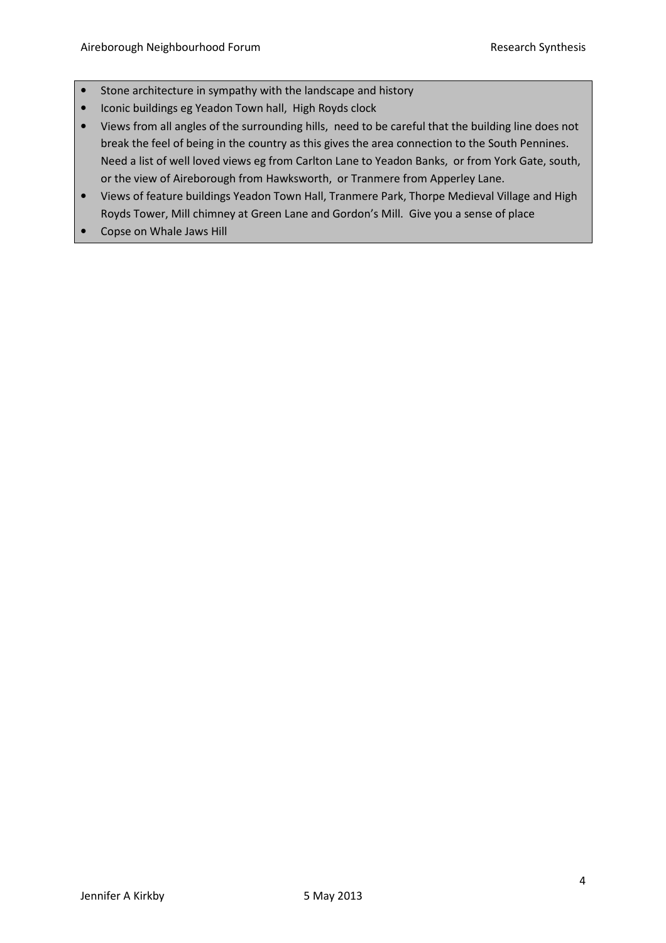- Stone architecture in sympathy with the landscape and history
- Iconic buildings eg Yeadon Town hall, High Royds clock
- Views from all angles of the surrounding hills, need to be careful that the building line does not break the feel of being in the country as this gives the area connection to the South Pennines. Need a list of well loved views eg from Carlton Lane to Yeadon Banks, or from York Gate, south, or the view of Aireborough from Hawksworth, or Tranmere from Apperley Lane.
- Views of feature buildings Yeadon Town Hall, Tranmere Park, Thorpe Medieval Village and High Royds Tower, Mill chimney at Green Lane and Gordon's Mill. Give you a sense of place
- Copse on Whale Jaws Hill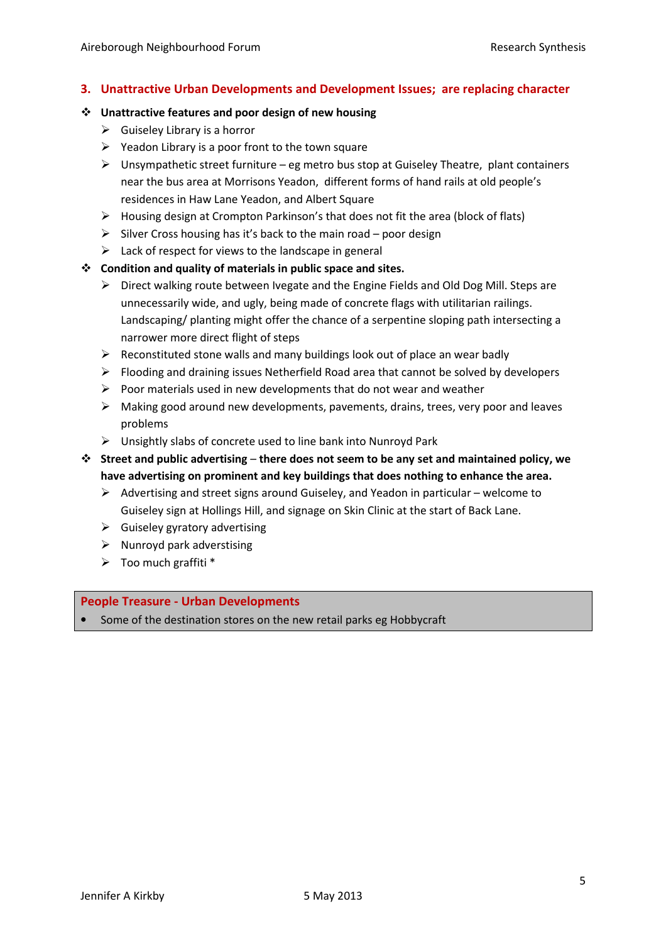## 3. Unattractive Urban Developments and Development Issues; are replacing character

#### Unattractive features and poor design of new housing

- $\triangleright$  Guiseley Library is a horror
- > Yeadon Library is a poor front to the town square
- > Unsympathetic street furniture eg metro bus stop at Guiseley Theatre, plant containers near the bus area at Morrisons Yeadon, different forms of hand rails at old people's residences in Haw Lane Yeadon, and Albert Square
- > Housing design at Crompton Parkinson's that does not fit the area (block of flats)
- > Silver Cross housing has it's back to the main road poor design
- > Lack of respect for views to the landscape in general

#### $\div$  Condition and quality of materials in public space and sites.

- > Direct walking route between Ivegate and the Engine Fields and Old Dog Mill. Steps are unnecessarily wide, and ugly, being made of concrete flags with utilitarian railings. Landscaping/ planting might offer the chance of a serpentine sloping path intersecting a narrower more direct flight of steps
- > Reconstituted stone walls and many buildings look out of place an wear badly
- > Flooding and draining issues Netherfield Road area that cannot be solved by developers
- > Poor materials used in new developments that do not wear and weather
- > Making good around new developments, pavements, drains, trees, very poor and leaves problems
- > Unsightly slabs of concrete used to line bank into Nunroyd Park
- $\cdot$  Street and public advertising there does not seem to be any set and maintained policy, we have advertising on prominent and key buildings that does nothing to enhance the area.
	- > Advertising and street signs around Guiseley, and Yeadon in particular welcome to Guiseley sign at Hollings Hill, and signage on Skin Clinic at the start of Back Lane.
	- $\triangleright$  Guiseley gyratory advertising
	- > Nunroyd park adverstising
	- > Too much graffiti \*

#### People Treasure - Urban Developments

• Some of the destination stores on the new retail parks eg Hobbycraft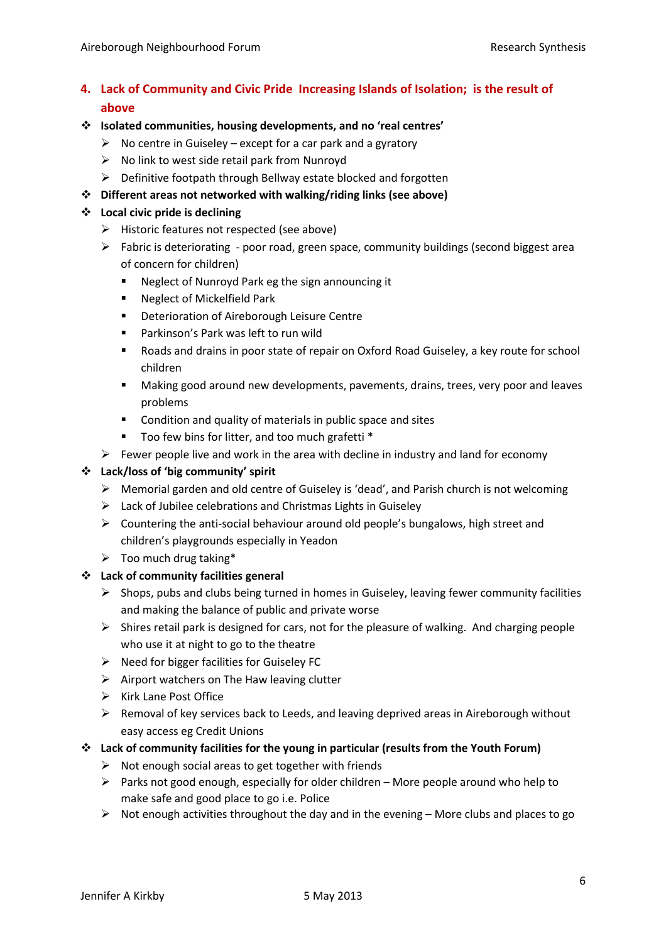## 4. Lack of Community and Civic Pride Increasing Islands of Isolation; is the result of above

### Isolated communities, housing developments, and no 'real centres'

- $\triangleright$  No centre in Guiseley except for a car park and a gyratory
- > No link to west side retail park from Nunroyd
- > Definitive footpath through Bellway estate blocked and forgotten
- Different areas not networked with walking/riding links (see above)

#### Local civic pride is declining

- > Historic features not respected (see above)
- > Fabric is deteriorating poor road, green space, community buildings (second biggest area of concern for children)
	- Neglect of Nunroyd Park eg the sign announcing it
	- Neglect of Mickelfield Park
	- **Deterioration of Aireborough Leisure Centre**
	- Parkinson's Park was left to run wild
	- Roads and drains in poor state of repair on Oxford Road Guiseley, a key route for school children
	- Making good around new developments, pavements, drains, trees, very poor and leaves problems
	- Condition and quality of materials in public space and sites
	- Too few bins for litter, and too much grafetti \*
- $\triangleright$  Fewer people live and work in the area with decline in industry and land for economy

### Lack/loss of 'big community' spirit

- > Memorial garden and old centre of Guiseley is 'dead', and Parish church is not welcoming
- > Lack of Jubilee celebrations and Christmas Lights in Guiseley
- > Countering the anti-social behaviour around old people's bungalows, high street and children's playgrounds especially in Yeadon
- > Too much drug taking\*

#### Lack of community facilities general

- > Shops, pubs and clubs being turned in homes in Guiseley, leaving fewer community facilities and making the balance of public and private worse
- > Shires retail park is designed for cars, not for the pleasure of walking. And charging people who use it at night to go to the theatre
- > Need for bigger facilities for Guiseley FC
- > Airport watchers on The Haw leaving clutter
- > Kirk Lane Post Office
- > Removal of key services back to Leeds, and leaving deprived areas in Aireborough without easy access eg Credit Unions

#### $\div$  Lack of community facilities for the young in particular (results from the Youth Forum)

- > Not enough social areas to get together with friends
- > Parks not good enough, especially for older children More people around who help to make safe and good place to go i.e. Police
- > Not enough activities throughout the day and in the evening More clubs and places to go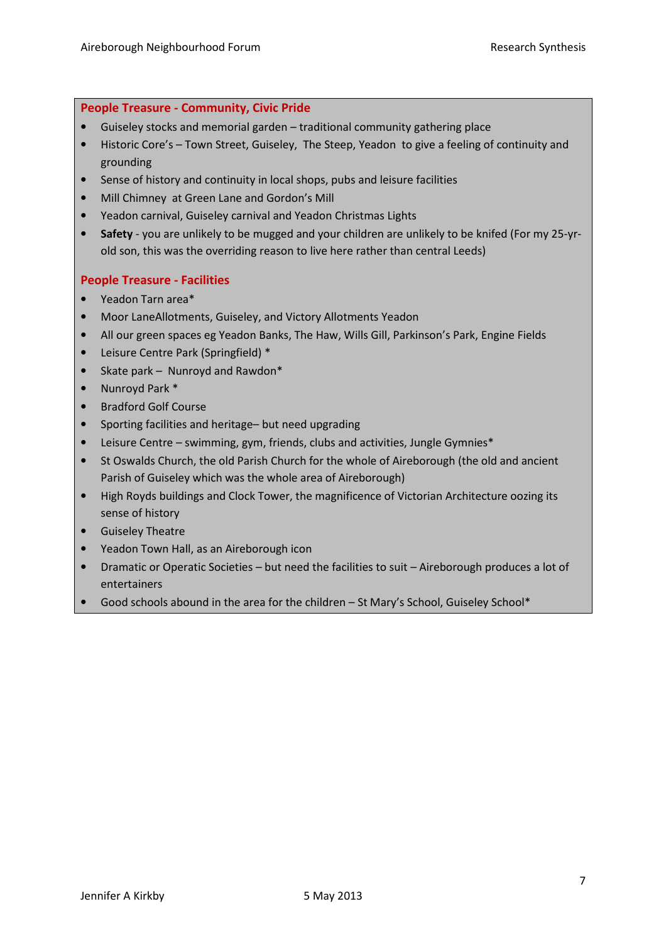#### People Treasure - Community, Civic Pride

- Guiseley stocks and memorial garden traditional community gathering place
- Historic Core's Town Street, Guiseley, The Steep, Yeadon to give a feeling of continuity and grounding
- Sense of history and continuity in local shops, pubs and leisure facilities
- Mill Chimney at Green Lane and Gordon's Mill
- Yeadon carnival, Guiseley carnival and Yeadon Christmas Lights
- Safety you are unlikely to be mugged and your children are unlikely to be knifed (For my 25-yrold son, this was the overriding reason to live here rather than central Leeds)

#### People Treasure - Facilities

- Yeadon Tarn area\*
- Moor LaneAllotments, Guiseley, and Victory Allotments Yeadon
- All our green spaces eg Yeadon Banks, The Haw, Wills Gill, Parkinson's Park, Engine Fields
- Leisure Centre Park (Springfield) \*
- Skate park Nunroyd and Rawdon\*
- Nunroyd Park \*
- Bradford Golf Course
- Sporting facilities and heritage– but need upgrading
- Leisure Centre swimming, gym, friends, clubs and activities, Jungle Gymnies\*
- St Oswalds Church, the old Parish Church for the whole of Aireborough (the old and ancient Parish of Guiseley which was the whole area of Aireborough)
- High Royds buildings and Clock Tower, the magnificence of Victorian Architecture oozing its sense of history
- Guiseley Theatre
- Yeadon Town Hall, as an Aireborough icon
- Dramatic or Operatic Societies but need the facilities to suit Aireborough produces a lot of entertainers
- Good schools abound in the area for the children St Mary's School, Guiseley School\*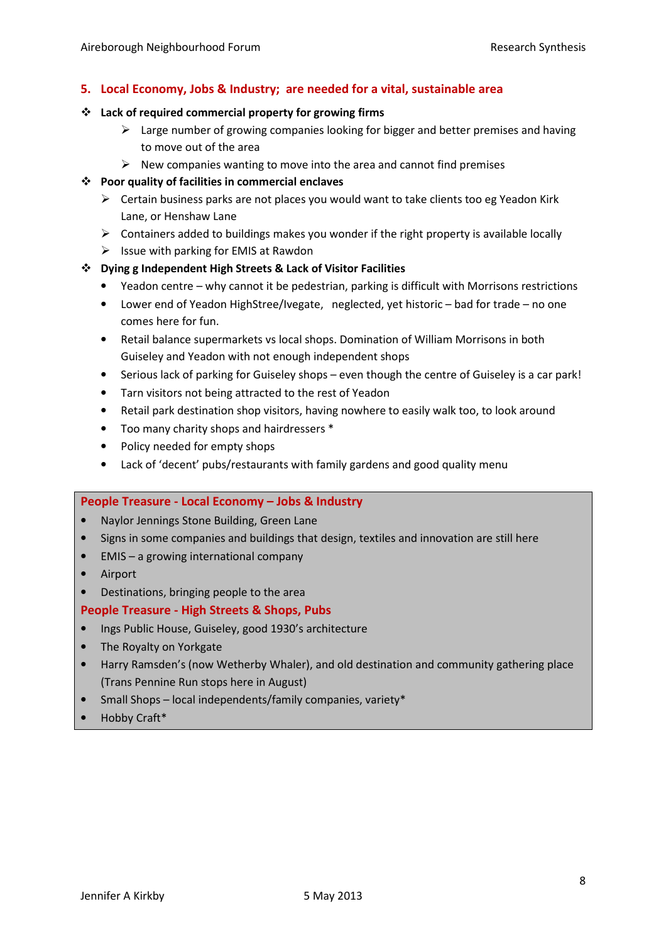## 5. Local Economy, Jobs & Industry; are needed for a vital, sustainable area

#### Lack of required commercial property for growing firms

- > Large number of growing companies looking for bigger and better premises and having to move out of the area
- New companies wanting to move into the area and cannot find premises

#### Poor quality of facilities in commercial enclaves

- > Certain business parks are not places you would want to take clients too eg Yeadon Kirk Lane, or Henshaw Lane
- > Containers added to buildings makes you wonder if the right property is available locally
- Issue with parking for EMIS at Rawdon

#### Dying g Independent High Streets & Lack of Visitor Facilities

- Yeadon centre why cannot it be pedestrian, parking is difficult with Morrisons restrictions
- Lower end of Yeadon HighStree/Ivegate, neglected, yet historic bad for trade no one comes here for fun.
- Retail balance supermarkets vs local shops. Domination of William Morrisons in both Guiseley and Yeadon with not enough independent shops
- Serious lack of parking for Guiseley shops even though the centre of Guiseley is a car park!
- Tarn visitors not being attracted to the rest of Yeadon
- Retail park destination shop visitors, having nowhere to easily walk too, to look around
- Too many charity shops and hairdressers \*
- Policy needed for empty shops
- Lack of 'decent' pubs/restaurants with family gardens and good quality menu

#### People Treasure - Local Economy – Jobs & Industry

- Naylor Jennings Stone Building, Green Lane
- Signs in some companies and buildings that design, textiles and innovation are still here
- EMIS a growing international company
- Airport
- Destinations, bringing people to the area

#### People Treasure - High Streets & Shops, Pubs

- Ings Public House, Guiseley, good 1930's architecture
- The Royalty on Yorkgate
- Harry Ramsden's (now Wetherby Whaler), and old destination and community gathering place (Trans Pennine Run stops here in August)
- Small Shops local independents/family companies, variety\*
- Hobby Craft\*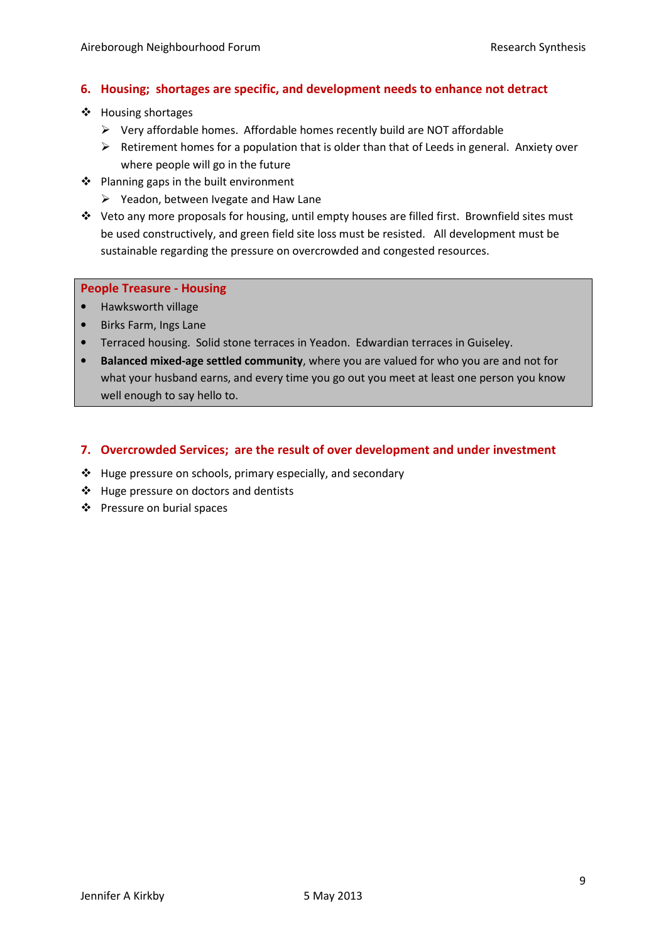## 6. Housing; shortages are specific, and development needs to enhance not detract

- ❖ Housing shortages
	- > Very affordable homes. Affordable homes recently build are NOT affordable
	- > Retirement homes for a population that is older than that of Leeds in general. Anxiety over where people will go in the future
- ❖ Planning gaps in the built environment
	- Yeadon, between Ivegate and Haw Lane
- $\div$  Veto any more proposals for housing, until empty houses are filled first. Brownfield sites must be used constructively, and green field site loss must be resisted. All development must be sustainable regarding the pressure on overcrowded and congested resources.

#### People Treasure - Housing

- Hawksworth village
- Birks Farm, Ings Lane
- Terraced housing. Solid stone terraces in Yeadon. Edwardian terraces in Guiseley.
- Balanced mixed-age settled community, where you are valued for who you are and not for what your husband earns, and every time you go out you meet at least one person you know well enough to say hello to.

## 7. Overcrowded Services; are the result of over development and under investment

- $\triangleq$  Huge pressure on schools, primary especially, and secondary
- $\triangleleft$  Huge pressure on doctors and dentists
- Pressure on burial spaces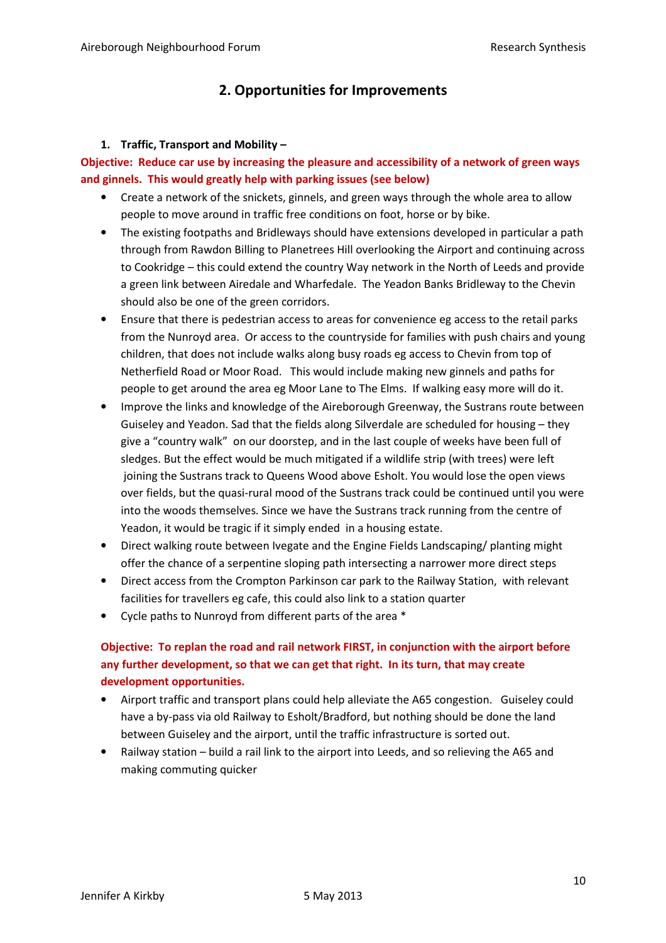## 2. Opportunities for Improvements

#### 1. Traffic, Transport and Mobility –

## Objective: Reduce car use by increasing the pleasure and accessibility of a network of green ways and ginnels. This would greatly help with parking issues (see below)

- Create a network of the snickets, ginnels, and green ways through the whole area to allow people to move around in traffic free conditions on foot, horse or by bike.
- The existing footpaths and Bridleways should have extensions developed in particular a path through from Rawdon Billing to Planetrees Hill overlooking the Airport and continuing across to Cookridge – this could extend the country Way network in the North of Leeds and provide a green link between Airedale and Wharfedale. The Yeadon Banks Bridleway to the Chevin should also be one of the green corridors.
- Ensure that there is pedestrian access to areas for convenience eg access to the retail parks from the Nunroyd area. Or access to the countryside for families with push chairs and young children, that does not include walks along busy roads eg access to Chevin from top of Netherfield Road or Moor Road. This would include making new ginnels and paths for people to get around the area eg Moor Lane to The Elms. If walking easy more will do it.
- Improve the links and knowledge of the Aireborough Greenway, the Sustrans route between Guiseley and Yeadon. Sad that the fields along Silverdale are scheduled for housing – they give a "country walk" on our doorstep, and in the last couple of weeks have been full of sledges. But the effect would be much mitigated if a wildlife strip (with trees) were left joining the Sustrans track to Queens Wood above Esholt. You would lose the open views over fields, but the quasi-rural mood of the Sustrans track could be continued until you were into the woods themselves. Since we have the Sustrans track running from the centre of Yeadon, it would be tragic if it simply ended in a housing estate.
- Direct walking route between Ivegate and the Engine Fields Landscaping/ planting might offer the chance of a serpentine sloping path intersecting a narrower more direct steps
- Direct access from the Crompton Parkinson car park to the Railway Station, with relevant facilities for travellers eg cafe, this could also link to a station quarter
- Cycle paths to Nunroyd from different parts of the area \*

## Objective: To replan the road and rail network FIRST, in conjunction with the airport before any further development, so that we can get that right. In its turn, that may create development opportunities.

- Airport traffic and transport plans could help alleviate the A65 congestion. Guiseley could have a by-pass via old Railway to Esholt/Bradford, but nothing should be done the land between Guiseley and the airport, until the traffic infrastructure is sorted out.
- Railway station build a rail link to the airport into Leeds, and so relieving the A65 and making commuting quicker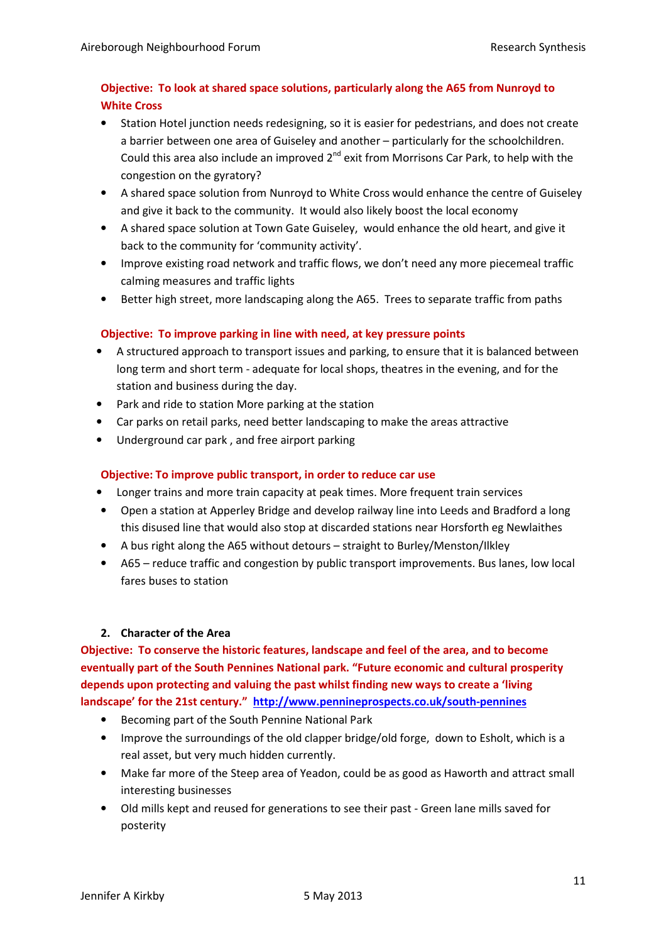## Objective: To look at shared space solutions, particularly along the A65 from Nunroyd to White Cross

- Station Hotel junction needs redesigning, so it is easier for pedestrians, and does not create a barrier between one area of Guiseley and another – particularly for the schoolchildren. Could this area also include an improved  $2^{nd}$  exit from Morrisons Car Park, to help with the congestion on the gyratory?
- A shared space solution from Nunroyd to White Cross would enhance the centre of Guiseley and give it back to the community. It would also likely boost the local economy
- A shared space solution at Town Gate Guiseley, would enhance the old heart, and give it back to the community for 'community activity'.
- Improve existing road network and traffic flows, we don't need any more piecemeal traffic calming measures and traffic lights
- Better high street, more landscaping along the A65. Trees to separate traffic from paths

## Objective: To improve parking in line with need, at key pressure points

- A structured approach to transport issues and parking, to ensure that it is balanced between long term and short term - adequate for local shops, theatres in the evening, and for the station and business during the day.
- Park and ride to station More parking at the station
- Car parks on retail parks, need better landscaping to make the areas attractive
- Underground car park , and free airport parking

## Objective: To improve public transport, in order to reduce car use

- Longer trains and more train capacity at peak times. More frequent train services
- Open a station at Apperley Bridge and develop railway line into Leeds and Bradford a long this disused line that would also stop at discarded stations near Horsforth eg Newlaithes
- A bus right along the A65 without detours straight to Burley/Menston/Ilkley
- A65 reduce traffic and congestion by public transport improvements. Bus lanes, low local fares buses to station

## 2. Character of the Area

Objective: To conserve the historic features, landscape and feel of the area, and to become eventually part of the South Pennines National park. "Future economic and cultural prosperity depends upon protecting and valuing the past whilst finding new ways to create a 'living landscape' for the 21st century." http://www.pennineprospects.co.uk/south-pennines

- Becoming part of the South Pennine National Park
- Improve the surroundings of the old clapper bridge/old forge, down to Esholt, which is a real asset, but very much hidden currently.
- Make far more of the Steep area of Yeadon, could be as good as Haworth and attract small interesting businesses
- Old mills kept and reused for generations to see their past Green lane mills saved for posterity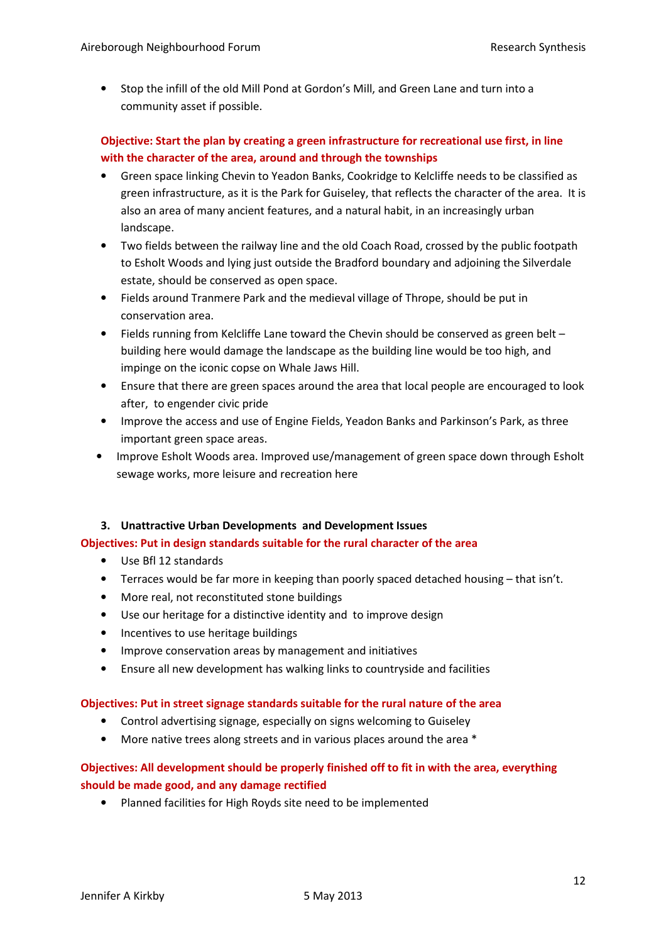• Stop the infill of the old Mill Pond at Gordon's Mill, and Green Lane and turn into a community asset if possible.

## Objective: Start the plan by creating a green infrastructure for recreational use first, in line with the character of the area, around and through the townships

- Green space linking Chevin to Yeadon Banks, Cookridge to Kelcliffe needs to be classified as green infrastructure, as it is the Park for Guiseley, that reflects the character of the area. It is also an area of many ancient features, and a natural habit, in an increasingly urban landscape.
- Two fields between the railway line and the old Coach Road, crossed by the public footpath to Esholt Woods and lying just outside the Bradford boundary and adjoining the Silverdale estate, should be conserved as open space.
- Fields around Tranmere Park and the medieval village of Thrope, should be put in conservation area.
- Fields running from Kelcliffe Lane toward the Chevin should be conserved as green belt building here would damage the landscape as the building line would be too high, and impinge on the iconic copse on Whale Jaws Hill.
- Ensure that there are green spaces around the area that local people are encouraged to look after, to engender civic pride
- Improve the access and use of Engine Fields, Yeadon Banks and Parkinson's Park, as three important green space areas.
- Improve Esholt Woods area. Improved use/management of green space down through Esholt sewage works, more leisure and recreation here

#### 3. Unattractive Urban Developments and Development Issues

#### Objectives: Put in design standards suitable for the rural character of the area

- Use Bfl 12 standards
- Terraces would be far more in keeping than poorly spaced detached housing that isn't.
- More real, not reconstituted stone buildings
- Use our heritage for a distinctive identity and to improve design
- Incentives to use heritage buildings
- Improve conservation areas by management and initiatives
- Ensure all new development has walking links to countryside and facilities

#### Objectives: Put in street signage standards suitable for the rural nature of the area

- Control advertising signage, especially on signs welcoming to Guiseley
- More native trees along streets and in various places around the area \*

## Objectives: All development should be properly finished off to fit in with the area, everything should be made good, and any damage rectified

• Planned facilities for High Royds site need to be implemented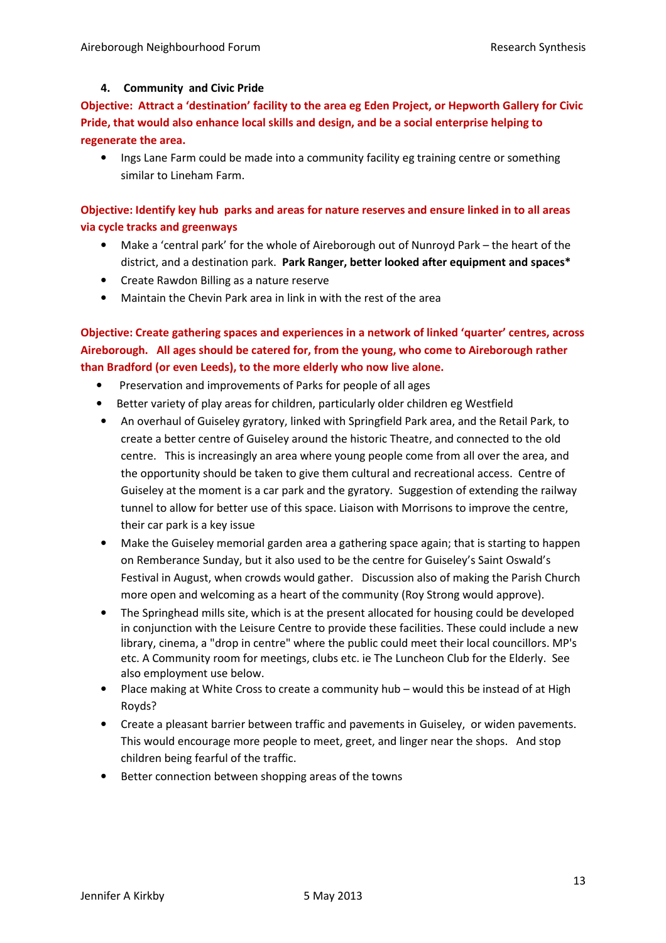#### 4. Community and Civic Pride

Objective: Attract a 'destination' facility to the area eg Eden Project, or Hepworth Gallery for Civic Pride, that would also enhance local skills and design, and be a social enterprise helping to regenerate the area.

• Ings Lane Farm could be made into a community facility eg training centre or something similar to Lineham Farm.

Objective: Identify key hub parks and areas for nature reserves and ensure linked in to all areas via cycle tracks and greenways

- Make a 'central park' for the whole of Aireborough out of Nunroyd Park the heart of the district, and a destination park. Park Ranger, better looked after equipment and spaces\*
- Create Rawdon Billing as a nature reserve
- Maintain the Chevin Park area in link in with the rest of the area

Objective: Create gathering spaces and experiences in a network of linked 'quarter' centres, across Aireborough. All ages should be catered for, from the young, who come to Aireborough rather than Bradford (or even Leeds), to the more elderly who now live alone.

- Preservation and improvements of Parks for people of all ages
- Better variety of play areas for children, particularly older children eg Westfield
- An overhaul of Guiseley gyratory, linked with Springfield Park area, and the Retail Park, to create a better centre of Guiseley around the historic Theatre, and connected to the old centre. This is increasingly an area where young people come from all over the area, and the opportunity should be taken to give them cultural and recreational access. Centre of Guiseley at the moment is a car park and the gyratory. Suggestion of extending the railway tunnel to allow for better use of this space. Liaison with Morrisons to improve the centre, their car park is a key issue
- Make the Guiseley memorial garden area a gathering space again; that is starting to happen on Remberance Sunday, but it also used to be the centre for Guiseley's Saint Oswald's Festival in August, when crowds would gather. Discussion also of making the Parish Church more open and welcoming as a heart of the community (Roy Strong would approve).
- The Springhead mills site, which is at the present allocated for housing could be developed in conjunction with the Leisure Centre to provide these facilities. These could include a new library, cinema, a "drop in centre" where the public could meet their local councillors. MP's etc. A Community room for meetings, clubs etc. ie The Luncheon Club for the Elderly. See also employment use below.
- Place making at White Cross to create a community hub would this be instead of at High Royds?
- Create a pleasant barrier between traffic and pavements in Guiseley, or widen pavements. This would encourage more people to meet, greet, and linger near the shops. And stop children being fearful of the traffic.
- Better connection between shopping areas of the towns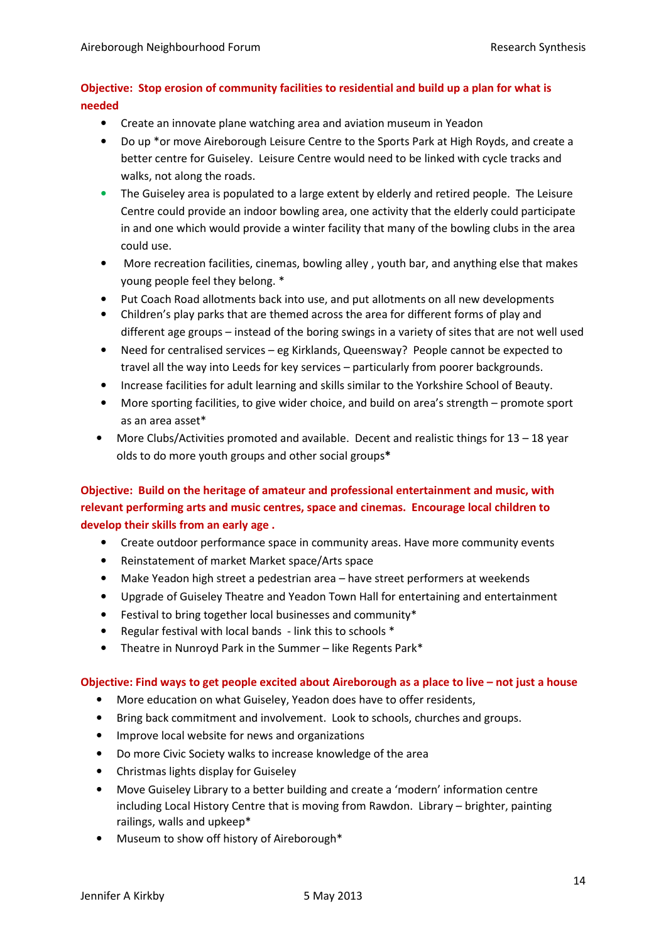## Objective: Stop erosion of community facilities to residential and build up a plan for what is needed

- Create an innovate plane watching area and aviation museum in Yeadon
- Do up \*or move Aireborough Leisure Centre to the Sports Park at High Royds, and create a better centre for Guiseley. Leisure Centre would need to be linked with cycle tracks and walks, not along the roads.
- The Guiseley area is populated to a large extent by elderly and retired people. The Leisure Centre could provide an indoor bowling area, one activity that the elderly could participate in and one which would provide a winter facility that many of the bowling clubs in the area could use.
- More recreation facilities, cinemas, bowling alley , youth bar, and anything else that makes young people feel they belong. \*
- Put Coach Road allotments back into use, and put allotments on all new developments
- Children's play parks that are themed across the area for different forms of play and different age groups – instead of the boring swings in a variety of sites that are not well used
- Need for centralised services eg Kirklands, Queensway? People cannot be expected to travel all the way into Leeds for key services – particularly from poorer backgrounds.
- Increase facilities for adult learning and skills similar to the Yorkshire School of Beauty.
- More sporting facilities, to give wider choice, and build on area's strength promote sport as an area asset\*
- More Clubs/Activities promoted and available. Decent and realistic things for 13 18 year olds to do more youth groups and other social groups\*

## Objective: Build on the heritage of amateur and professional entertainment and music, with relevant performing arts and music centres, space and cinemas. Encourage local children to develop their skills from an early age .

- Create outdoor performance space in community areas. Have more community events
- Reinstatement of market Market space/Arts space
- Make Yeadon high street a pedestrian area have street performers at weekends
- Upgrade of Guiseley Theatre and Yeadon Town Hall for entertaining and entertainment
- Festival to bring together local businesses and community\*
- Regular festival with local bands link this to schools \*
- Theatre in Nunroyd Park in the Summer like Regents Park\*

#### Objective: Find ways to get people excited about Aireborough as a place to live – not just a house

- More education on what Guiseley, Yeadon does have to offer residents,
- Bring back commitment and involvement. Look to schools, churches and groups.
- Improve local website for news and organizations
- Do more Civic Society walks to increase knowledge of the area
- Christmas lights display for Guiseley
- Move Guiseley Library to a better building and create a 'modern' information centre including Local History Centre that is moving from Rawdon. Library – brighter, painting railings, walls and upkeep\*
- Museum to show off history of Aireborough\*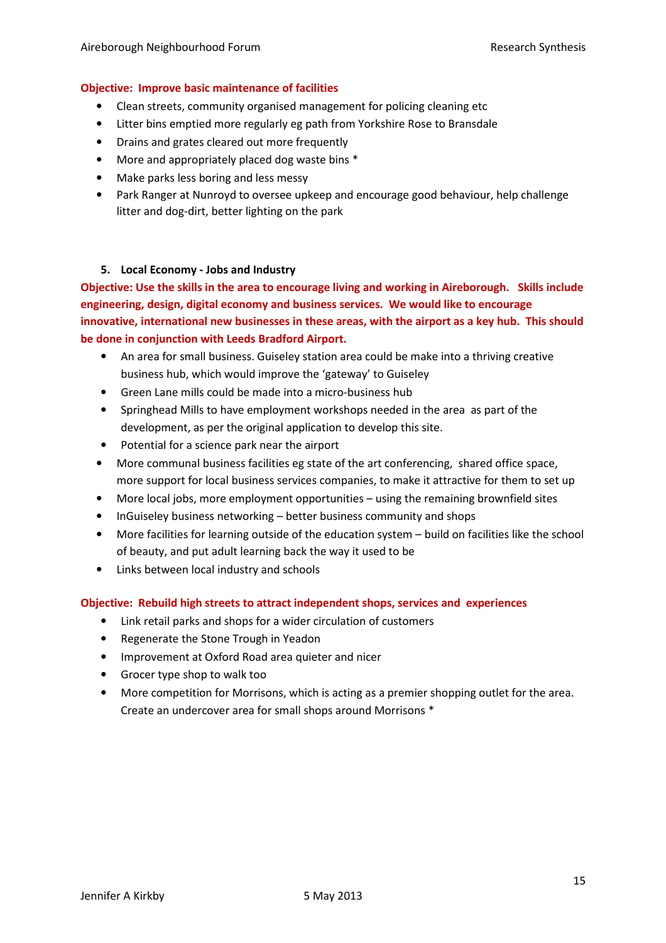#### Objective: Improve basic maintenance of facilities

- Clean streets, community organised management for policing cleaning etc
- Litter bins emptied more regularly eg path from Yorkshire Rose to Bransdale
- Drains and grates cleared out more frequently
- More and appropriately placed dog waste bins \*
- Make parks less boring and less messy
- Park Ranger at Nunroyd to oversee upkeep and encourage good behaviour, help challenge litter and dog-dirt, better lighting on the park

#### 5. Local Economy - Jobs and Industry

Objective: Use the skills in the area to encourage living and working in Aireborough. Skills include engineering, design, digital economy and business services. We would like to encourage innovative, international new businesses in these areas, with the airport as a key hub. This should be done in conjunction with Leeds Bradford Airport.

- An area for small business. Guiseley station area could be make into a thriving creative business hub, which would improve the 'gateway' to Guiseley
- Green Lane mills could be made into a micro-business hub
- Springhead Mills to have employment workshops needed in the area as part of the development, as per the original application to develop this site.
- Potential for a science park near the airport
- More communal business facilities eg state of the art conferencing, shared office space, more support for local business services companies, to make it attractive for them to set up
- More local jobs, more employment opportunities using the remaining brownfield sites
- InGuiseley business networking better business community and shops
- More facilities for learning outside of the education system build on facilities like the school of beauty, and put adult learning back the way it used to be
- Links between local industry and schools

#### Objective: Rebuild high streets to attract independent shops, services and experiences

- Link retail parks and shops for a wider circulation of customers
- Regenerate the Stone Trough in Yeadon
- Improvement at Oxford Road area quieter and nicer
- Grocer type shop to walk too
- More competition for Morrisons, which is acting as a premier shopping outlet for the area. Create an undercover area for small shops around Morrisons \*